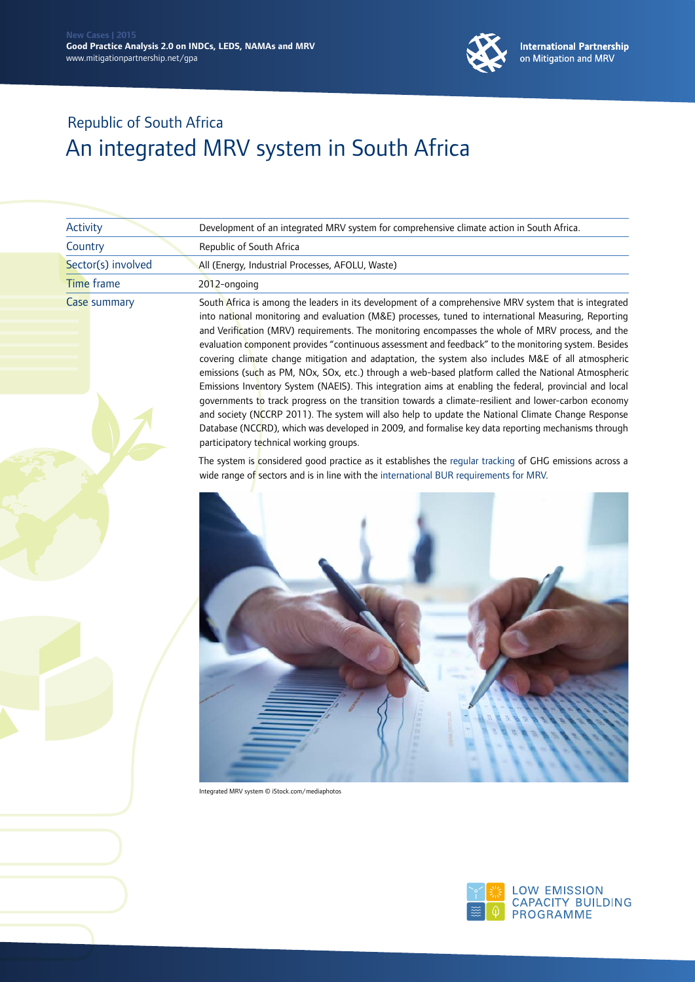

| Activity           | Development of an integrated MRV system for comprehensive climate action in South Africa.<br>Republic of South Africa                                                                                         |  |
|--------------------|---------------------------------------------------------------------------------------------------------------------------------------------------------------------------------------------------------------|--|
| Country            |                                                                                                                                                                                                               |  |
| Sector(s) involved | All (Energy, Industrial Processes, AFOLU, Waste)                                                                                                                                                              |  |
| Time frame         | 2012-ongoing                                                                                                                                                                                                  |  |
| Case summary       | South Africa is among the leaders in its development of a comprehensive MRV system that is integrated<br>into national monitoring and evaluation (M&E) processes, tuned to international Measuring, Reporting |  |

into national monitoring and evaluation (M&E) processes, tuned to international Measuring, Reporting and Verification (MRV) requirements. The monitoring encompasses the whole of MRV process, and the evaluation component provides "continuous assessment and feedback" to the monitoring system. Besides covering climate change mitigation and adaptation, the system also includes M&E of all atmospheric emissions (such as PM, NOx, SOx, etc.) through a web-based platform called the National Atmospheric Emissions Inventory System (NAEIS). This integration aims at enabling the federal, provincial and local governments to track progress on the transition towards a climate-resilient and lower-carbon economy and society (NCCRP 2011). The system will also help to update the National Climate Change Response Database (NCCRD), which was developed in 2009, and formalise key data reporting mechanisms through participatory technical working groups.

The system is considered good practice as it establishes the regular tracking of GHG emissions across a wide range of sectors and is in line with the international BUR requirements for MRV.



Integrated MRV system © iStock.com/mediaphotos

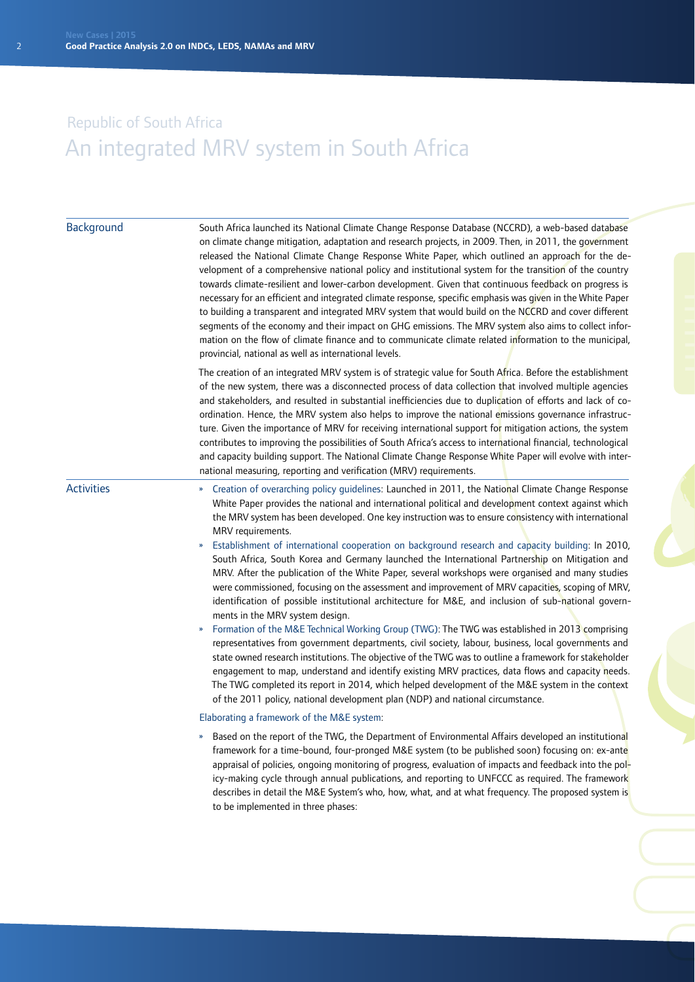| Background        | South Africa launched its National Climate Change Response Database (NCCRD), a web-based database<br>on climate change mitigation, adaptation and research projects, in 2009. Then, in 2011, the government<br>released the National Climate Change Response White Paper, which outlined an approach for the de-<br>velopment of a comprehensive national policy and institutional system for the transition of the country<br>towards climate-resilient and lower-carbon development. Given that continuous feedback on progress is<br>necessary for an efficient and integrated climate response, specific emphasis was given in the White Paper<br>to building a transparent and integrated MRV system that would build on the NCCRD and cover different<br>segments of the economy and their impact on GHG emissions. The MRV system also aims to collect infor-<br>mation on the flow of climate finance and to communicate climate related information to the municipal,<br>provincial, national as well as international levels.                                                                                                                                                                                                                                                                                                                                                                                                                                                                            |
|-------------------|--------------------------------------------------------------------------------------------------------------------------------------------------------------------------------------------------------------------------------------------------------------------------------------------------------------------------------------------------------------------------------------------------------------------------------------------------------------------------------------------------------------------------------------------------------------------------------------------------------------------------------------------------------------------------------------------------------------------------------------------------------------------------------------------------------------------------------------------------------------------------------------------------------------------------------------------------------------------------------------------------------------------------------------------------------------------------------------------------------------------------------------------------------------------------------------------------------------------------------------------------------------------------------------------------------------------------------------------------------------------------------------------------------------------------------------------------------------------------------------------------------------------|
|                   | The creation of an integrated MRV system is of strategic value for South Africa. Before the establishment<br>of the new system, there was a disconnected process of data collection that involved multiple agencies<br>and stakeholders, and resulted in substantial inefficiencies due to duplication of efforts and lack of co-<br>ordination. Hence, the MRV system also helps to improve the national emissions governance infrastruc-<br>ture. Given the importance of MRV for receiving international support for mitigation actions, the system<br>contributes to improving the possibilities of South Africa's access to international financial, technological<br>and capacity building support. The National Climate Change Response White Paper will evolve with inter-<br>national measuring, reporting and verification (MRV) requirements.                                                                                                                                                                                                                                                                                                                                                                                                                                                                                                                                                                                                                                                           |
| <b>Activities</b> | » Creation of overarching policy quidelines: Launched in 2011, the National Climate Change Response<br>White Paper provides the national and international political and development context against which<br>the MRV system has been developed. One key instruction was to ensure consistency with international<br>MRV requirements.<br>Establishment of international cooperation on background research and capacity building: In 2010,<br>»<br>South Africa, South Korea and Germany launched the International Partnership on Mitigation and<br>MRV. After the publication of the White Paper, several workshops were organised and many studies<br>were commissioned, focusing on the assessment and improvement of MRV capacities, scoping of MRV,<br>identification of possible institutional architecture for M&E, and inclusion of sub-national govern-<br>ments in the MRV system design.<br>Formation of the M&E Technical Working Group (TWG): The TWG was established in 2013 comprising<br>representatives from government departments, civil society, labour, business, local governments and<br>state owned research institutions. The objective of the TWG was to outline a framework for stakeholder<br>engagement to map, understand and identify existing MRV practices, data flows and capacity needs.<br>The TWG completed its report in 2014, which helped development of the M&E system in the context<br>of the 2011 policy, national development plan (NDP) and national circumstance. |
|                   | Elaborating a framework of the M&E system:                                                                                                                                                                                                                                                                                                                                                                                                                                                                                                                                                                                                                                                                                                                                                                                                                                                                                                                                                                                                                                                                                                                                                                                                                                                                                                                                                                                                                                                                         |
|                   | Based on the report of the TWG, the Department of Environmental Affairs developed an institutional<br>»<br>framework for a time-bound, four-pronged M&E system (to be published soon) focusing on: ex-ante<br>appraisal of policies, ongoing monitoring of progress, evaluation of impacts and feedback into the pol-<br>icy-making cycle through annual publications, and reporting to UNFCCC as required. The framework<br>describes in detail the M&E System's who, how, what, and at what frequency. The proposed system is<br>to be implemented in three phases:                                                                                                                                                                                                                                                                                                                                                                                                                                                                                                                                                                                                                                                                                                                                                                                                                                                                                                                                              |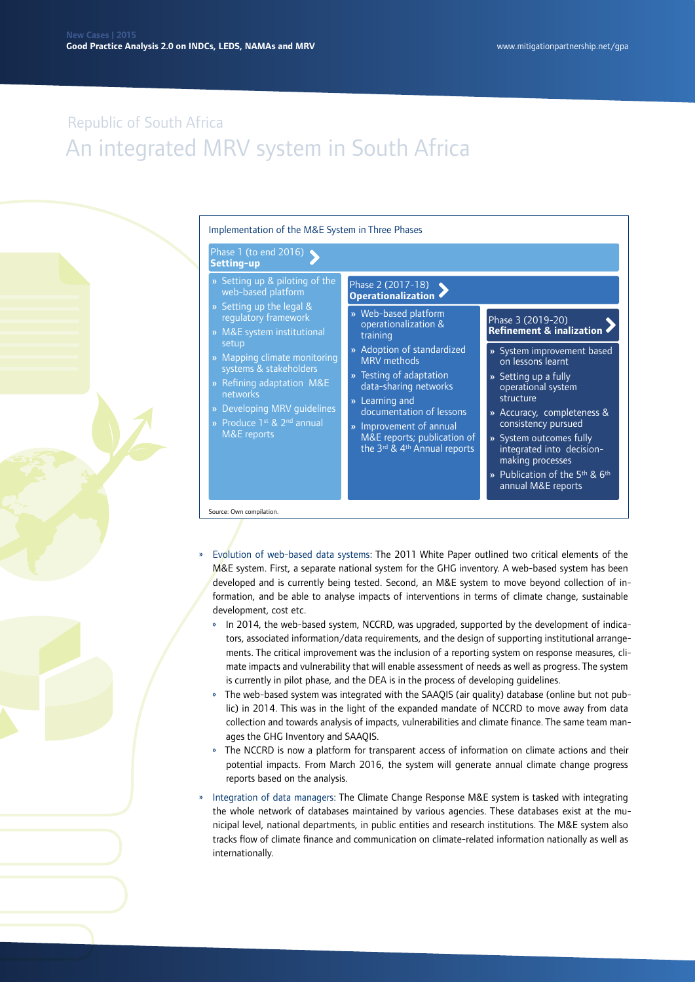

- » Evolution of web-based data systems: The 2011 White Paper outlined two critical elements of the M&E system. First, a separate national system for the GHG inventory. A web-based system has been developed and is currently being tested. Second, an M&E system to move beyond collection of information, and be able to analyse impacts of interventions in terms of climate change, sustainable development, cost etc.
	- » In 2014, the web-based system, NCCRD, was upgraded, supported by the development of indicators, associated information/data requirements, and the design of supporting institutional arrangements. The critical improvement was the inclusion of a reporting system on response measures, climate impacts and vulnerability that will enable assessment of needs as well as progress. The system is currently in pilot phase, and the DEA is in the process of developing guidelines.
	- » The web-based system was integrated with the SAAQIS (air quality) database (online but not public) in 2014. This was in the light of the expanded mandate of NCCRD to move away from data collection and towards analysis of impacts, vulnerabilities and climate finance. The same team manages the GHG Inventory and SAAQIS.
	- » The NCCRD is now a platform for transparent access of information on climate actions and their potential impacts. From March 2016, the system will generate annual climate change progress reports based on the analysis.
- » Integration of data managers: The Climate Change Response M&E system is tasked with integrating the whole network of databases maintained by various agencies. These databases exist at the municipal level, national departments, in public entities and research institutions. The M&E system also tracks flow of climate finance and communication on climate-related information nationally as well as internationally.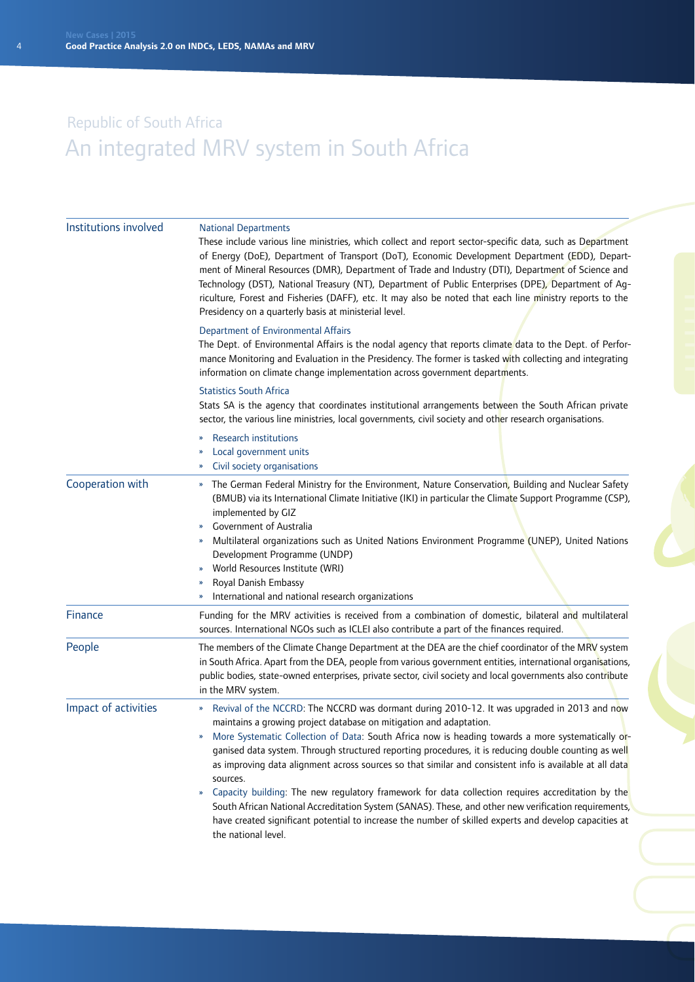| Institutions involved | <b>National Departments</b><br>These include various line ministries, which collect and report sector-specific data, such as Department<br>of Energy (DoE), Department of Transport (DoT), Economic Development Department (EDD), Depart-<br>ment of Mineral Resources (DMR), Department of Trade and Industry (DTI), Department of Science and<br>Technology (DST), National Treasury (NT), Department of Public Enterprises (DPE), Department of Ag-<br>riculture, Forest and Fisheries (DAFF), etc. It may also be noted that each line ministry reports to the<br>Presidency on a quarterly basis at ministerial level.                                                                                                                                                                                                                                                                 |  |  |
|-----------------------|---------------------------------------------------------------------------------------------------------------------------------------------------------------------------------------------------------------------------------------------------------------------------------------------------------------------------------------------------------------------------------------------------------------------------------------------------------------------------------------------------------------------------------------------------------------------------------------------------------------------------------------------------------------------------------------------------------------------------------------------------------------------------------------------------------------------------------------------------------------------------------------------|--|--|
|                       | Department of Environmental Affairs<br>The Dept. of Environmental Affairs is the nodal agency that reports climate data to the Dept. of Perfor-<br>mance Monitoring and Evaluation in the Presidency. The former is tasked with collecting and integrating<br>information on climate change implementation across government departments.                                                                                                                                                                                                                                                                                                                                                                                                                                                                                                                                                   |  |  |
|                       | <b>Statistics South Africa</b><br>Stats SA is the agency that coordinates institutional arrangements between the South African private<br>sector, the various line ministries, local governments, civil society and other research organisations.                                                                                                                                                                                                                                                                                                                                                                                                                                                                                                                                                                                                                                           |  |  |
|                       | <b>Research institutions</b><br>»<br>Local government units<br>Civil society organisations<br>»                                                                                                                                                                                                                                                                                                                                                                                                                                                                                                                                                                                                                                                                                                                                                                                             |  |  |
| Cooperation with      | » The German Federal Ministry for the Environment, Nature Conservation, Building and Nuclear Safety<br>(BMUB) via its International Climate Initiative (IKI) in particular the Climate Support Programme (CSP),<br>implemented by GIZ<br><b>Government of Australia</b><br>Multilateral organizations such as United Nations Environment Programme (UNEP), United Nations<br>»<br>Development Programme (UNDP)<br>World Resources Institute (WRI)<br>»<br>Royal Danish Embassy<br>International and national research organizations                                                                                                                                                                                                                                                                                                                                                         |  |  |
| Finance               | Funding for the MRV activities is received from a combination of domestic, bilateral and multilateral<br>sources. International NGOs such as ICLEI also contribute a part of the finances required.                                                                                                                                                                                                                                                                                                                                                                                                                                                                                                                                                                                                                                                                                         |  |  |
| People                | The members of the Climate Change Department at the DEA are the chief coordinator of the MRV system<br>in South Africa. Apart from the DEA, people from various government entities, international organisations,<br>public bodies, state-owned enterprises, private sector, civil society and local governments also contribute<br>in the MRV system.                                                                                                                                                                                                                                                                                                                                                                                                                                                                                                                                      |  |  |
| Impact of activities  | Revival of the NCCRD: The NCCRD was dormant during 2010-12. It was upgraded in 2013 and now<br>$\boldsymbol{\mathcal{D}}$<br>maintains a growing project database on mitigation and adaptation.<br>More Systematic Collection of Data: South Africa now is heading towards a more systematically or-<br>»<br>ganised data system. Through structured reporting procedures, it is reducing double counting as well<br>as improving data alignment across sources so that similar and consistent info is available at all data<br>sources.<br>Capacity building: The new regulatory framework for data collection requires accreditation by the<br>»<br>South African National Accreditation System (SANAS). These, and other new verification requirements,<br>have created significant potential to increase the number of skilled experts and develop capacities at<br>the national level. |  |  |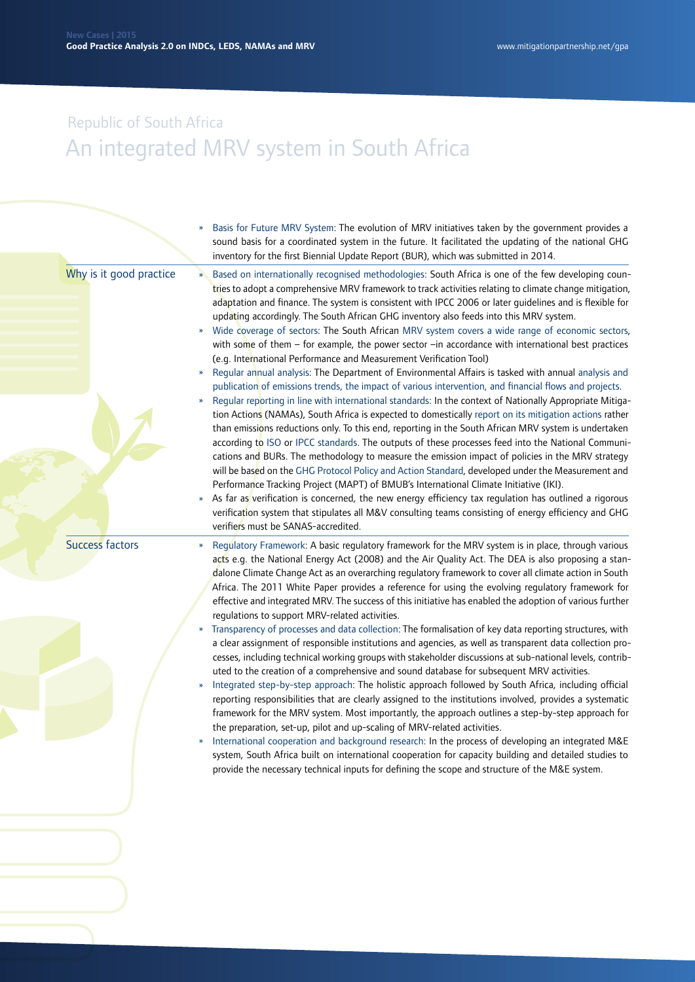|                         |                                      | Basis for Future MRV System: The evolution of MRV initiatives taken by the government provides a<br>sound basis for a coordinated system in the future. It facilitated the updating of the national GHG<br>inventory for the first Biennial Update Report (BUR), which was submitted in 2014.                                                                                                                                                                                                                                                                                                                                                                                                                                                                                                                                                                                                                                                                                                                                                                                                                                                                                                                                                                                                                                                                                                                                                                                                                                                                                                                                                                                                                                                                                                                                                                                                                    |
|-------------------------|--------------------------------------|------------------------------------------------------------------------------------------------------------------------------------------------------------------------------------------------------------------------------------------------------------------------------------------------------------------------------------------------------------------------------------------------------------------------------------------------------------------------------------------------------------------------------------------------------------------------------------------------------------------------------------------------------------------------------------------------------------------------------------------------------------------------------------------------------------------------------------------------------------------------------------------------------------------------------------------------------------------------------------------------------------------------------------------------------------------------------------------------------------------------------------------------------------------------------------------------------------------------------------------------------------------------------------------------------------------------------------------------------------------------------------------------------------------------------------------------------------------------------------------------------------------------------------------------------------------------------------------------------------------------------------------------------------------------------------------------------------------------------------------------------------------------------------------------------------------------------------------------------------------------------------------------------------------|
| Why is it good practice | $\mathbf{w}$<br>D                    | Based on internationally recognised methodologies: South Africa is one of the few developing coun-<br>tries to adopt a comprehensive MRV framework to track activities relating to climate change mitigation,<br>adaptation and finance. The system is consistent with IPCC 2006 or later guidelines and is flexible for<br>updating accordingly. The South African GHG inventory also feeds into this MRV system.<br>Wide coverage of sectors: The South African MRV system covers a wide range of economic sectors,<br>with some of them - for example, the power sector -in accordance with international best practices<br>(e.g. International Performance and Measurement Verification Tool)<br>Regular annual analysis: The Department of Environmental Affairs is tasked with annual analysis and<br>publication of emissions trends, the impact of various intervention, and financial flows and projects.<br>Regular reporting in line with international standards: In the context of Nationally Appropriate Mitiga-<br>tion Actions (NAMAs), South Africa is expected to domestically report on its mitigation actions rather<br>than emissions reductions only. To this end, reporting in the South African MRV system is undertaken<br>according to ISO or IPCC standards. The outputs of these processes feed into the National Communi-<br>cations and BURs. The methodology to measure the emission impact of policies in the MRV strategy<br>will be based on the GHG Protocol Policy and Action Standard, developed under the Measurement and<br>Performance Tracking Project (MAPT) of BMUB's International Climate Initiative (IKI).<br>As far as verification is concerned, the new energy efficiency tax regulation has outlined a rigorous<br>verification system that stipulates all M&V consulting teams consisting of energy efficiency and GHG<br>verifiers must be SANAS-accredited. |
| <b>Success factors</b>  | »<br>$\boldsymbol{\mathcal{V}}$<br>» | Regulatory Framework: A basic regulatory framework for the MRV system is in place, through various<br>acts e.g. the National Energy Act (2008) and the Air Quality Act. The DEA is also proposing a stan-<br>dalone Climate Change Act as an overarching regulatory framework to cover all climate action in South<br>Africa. The 2011 White Paper provides a reference for using the evolving regulatory framework for<br>effective and integrated MRV. The success of this initiative has enabled the adoption of various further<br>regulations to support MRV-related activities.<br>Transparency of processes and data collection: The formalisation of key data reporting structures, with<br>a clear assignment of responsible institutions and agencies, as well as transparent data collection pro-<br>cesses, including technical working groups with stakeholder discussions at sub-national levels, contrib-<br>uted to the creation of a comprehensive and sound database for subsequent MRV activities.<br>Integrated step-by-step approach: The holistic approach followed by South Africa, including official<br>reporting responsibilities that are clearly assigned to the institutions involved, provides a systematic<br>framework for the MRV system. Most importantly, the approach outlines a step-by-step approach for<br>the preparation, set-up, pilot and up-scaling of MRV-related activities.<br>International cooperation and background research: In the process of developing an integrated M&E<br>system, South Africa built on international cooperation for capacity building and detailed studies to<br>provide the necessary technical inputs for defining the scope and structure of the M&E system.                                                                                                                                                                       |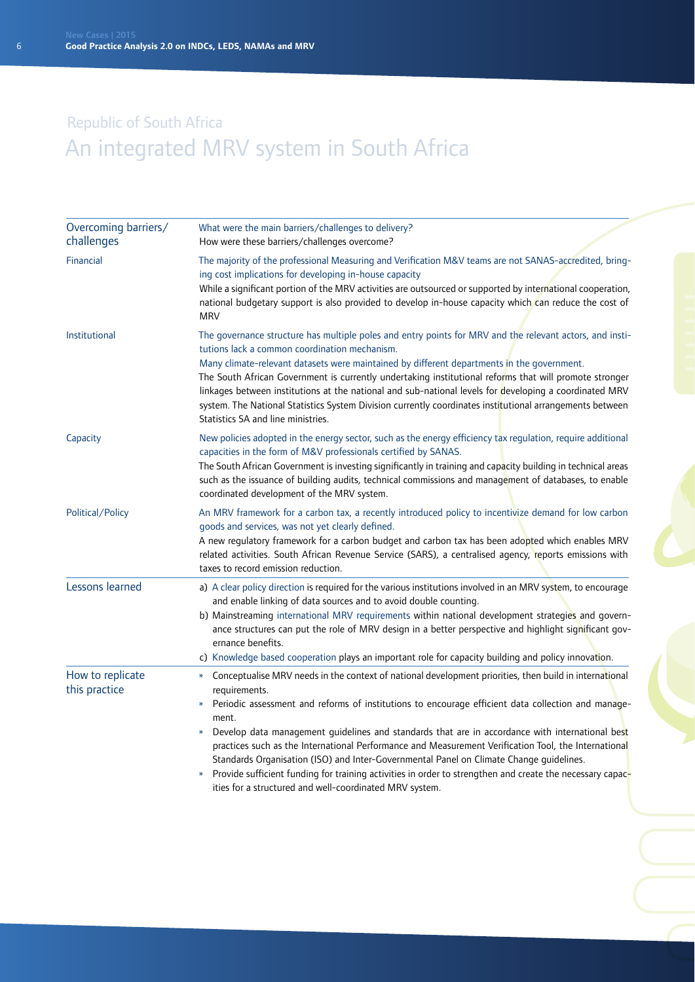| Overcoming barriers/<br>challenges | What were the main barriers/challenges to delivery?<br>How were these barriers/challenges overcome?                                                                                                                                                                                                                                                                                                                                                                                                                                                                                                                                                                                                                                                                                        |
|------------------------------------|--------------------------------------------------------------------------------------------------------------------------------------------------------------------------------------------------------------------------------------------------------------------------------------------------------------------------------------------------------------------------------------------------------------------------------------------------------------------------------------------------------------------------------------------------------------------------------------------------------------------------------------------------------------------------------------------------------------------------------------------------------------------------------------------|
| Financial                          | The majority of the professional Measuring and Verification M&V teams are not SANAS-accredited, bring-<br>ing cost implications for developing in-house capacity<br>While a significant portion of the MRV activities are outsourced or supported by international cooperation,<br>national budgetary support is also provided to develop in-house capacity which can reduce the cost of<br><b>MRV</b>                                                                                                                                                                                                                                                                                                                                                                                     |
| Institutional                      | The governance structure has multiple poles and entry points for MRV and the relevant actors, and insti-<br>tutions lack a common coordination mechanism.<br>Many climate-relevant datasets were maintained by different departments in the government.<br>The South African Government is currently undertaking institutional reforms that will promote stronger<br>linkages between institutions at the national and sub-national levels for developing a coordinated MRV<br>system. The National Statistics System Division currently coordinates institutional arrangements between<br>Statistics SA and line ministries.                                                                                                                                                              |
| Capacity                           | New policies adopted in the energy sector, such as the energy efficiency tax regulation, require additional<br>capacities in the form of M&V professionals certified by SANAS.<br>The South African Government is investing significantly in training and capacity building in technical areas<br>such as the issuance of building audits, technical commissions and management of databases, to enable<br>coordinated development of the MRV system.                                                                                                                                                                                                                                                                                                                                      |
| Political/Policy                   | An MRV framework for a carbon tax, a recently introduced policy to incentivize demand for low carbon<br>goods and services, was not yet clearly defined.<br>A new regulatory framework for a carbon budget and carbon tax has been adopted which enables MRV<br>related activities. South African Revenue Service (SARS), a centralised agency, reports emissions with<br>taxes to record emission reduction.                                                                                                                                                                                                                                                                                                                                                                              |
| Lessons learned                    | a) A clear policy direction is required for the various institutions involved in an MRV system, to encourage<br>and enable linking of data sources and to avoid double counting.<br>b) Mainstreaming international MRV requirements within national development strategies and govern-<br>ance structures can put the role of MRV design in a better perspective and highlight significant gov-<br>ernance benefits.<br>c) Knowledge based cooperation plays an important role for capacity building and policy innovation.                                                                                                                                                                                                                                                                |
| How to replicate<br>this practice  | Conceptualise MRV needs in the context of national development priorities, then build in international<br>$\boldsymbol{\mathcal{V}}$<br>requirements.<br>Periodic assessment and reforms of institutions to encourage efficient data collection and manage-<br>»<br>ment.<br>Develop data management guidelines and standards that are in accordance with international best<br>»<br>practices such as the International Performance and Measurement Verification Tool, the International<br>Standards Organisation (ISO) and Inter-Governmental Panel on Climate Change guidelines.<br>Provide sufficient funding for training activities in order to strengthen and create the necessary capac-<br>$\boldsymbol{\mathcal{V}}$<br>ities for a structured and well-coordinated MRV system. |